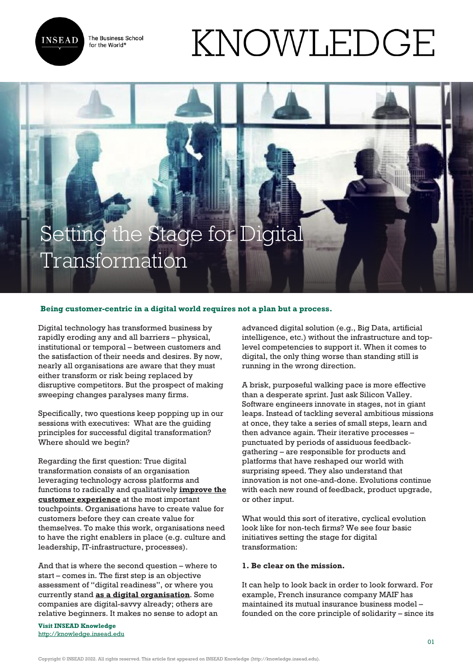The Business School for the World<sup>®</sup>



# KNOWLEDGE

# Setting the Stage for Digital Transformation

## **Being customer-centric in a digital world requires not a plan but a process.**

Digital technology has transformed business by rapidly eroding any and all barriers – physical, institutional or temporal – between customers and the satisfaction of their needs and desires. By now, nearly all organisations are aware that they must either transform or risk being replaced by disruptive competitors. But the prospect of making sweeping changes paralyses many firms.

Specifically, two questions keep popping up in our sessions with executives: What are the guiding principles for successful digital transformation? Where should we begin?

Regarding the first question: True digital transformation consists of an organisation leveraging technology across platforms and functions to radically and qualitatively **[improve the](http://knowledge.insead.edu/customers/successful-digital-transformation-starts-with-the-customer-4498) [customer experience](http://knowledge.insead.edu/customers/successful-digital-transformation-starts-with-the-customer-4498)** at the most important touchpoints. Organisations have to create value for customers before they can create value for themselves. To make this work, organisations need to have the right enablers in place (e.g. culture and leadership, IT-infrastructure, processes).

And that is where the second question – where to start – comes in. The first step is an objective assessment of "digital readiness", or where you currently stand **[as a digital organisation](https://knowledge.insead.edu/leadership-organisations/11-leadership-guidelines-for-the-digital-age-5516)**. Some companies are digital-savvy already; others are relative beginners. It makes no sense to adopt an

**Visit INSEAD Knowledge** <http://knowledge.insead.edu>

advanced digital solution (e.g., Big Data, artificial intelligence, etc.) without the infrastructure and toplevel competencies to support it. When it comes to digital, the only thing worse than standing still is running in the wrong direction.

A brisk, purposeful walking pace is more effective than a desperate sprint. Just ask Silicon Valley. Software engineers innovate in stages, not in giant leaps. Instead of tackling several ambitious missions at once, they take a series of small steps, learn and then advance again. Their iterative processes – punctuated by periods of assiduous feedbackgathering – are responsible for products and platforms that have reshaped our world with surprising speed. They also understand that innovation is not one-and-done. Evolutions continue with each new round of feedback, product upgrade, or other input.

What would this sort of iterative, cyclical evolution look like for non-tech firms? We see four basic initiatives setting the stage for digital transformation:

### **1. Be clear on the mission.**

It can help to look back in order to look forward. For example, French insurance company MAIF has maintained its mutual insurance business model – founded on the core principle of solidarity – since its

Copyright © INSEAD 2022. All rights reserved. This article first appeared on INSEAD Knowledge (http://knowledge.insead.edu).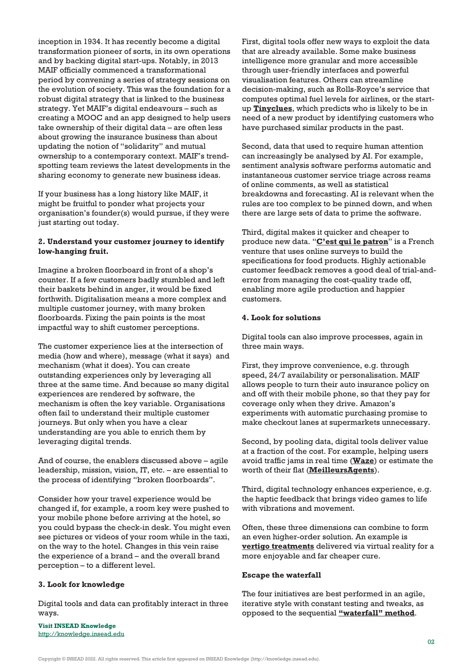inception in 1934. It has recently become a digital transformation pioneer of sorts, in its own operations and by backing digital start-ups. Notably, in 2013 MAIF officially commenced a transformational period by convening a series of strategy sessions on the evolution of society. This was the foundation for a robust digital strategy that is linked to the business strategy. Yet MAIF's digital endeavours – such as creating a MOOC and an app designed to help users take ownership of their digital data – are often less about growing the insurance business than about updating the notion of "solidarity" and mutual ownership to a contemporary context. MAIF's trendspotting team reviews the latest developments in the sharing economy to generate new business ideas.

If your business has a long history like MAIF, it might be fruitful to ponder what projects your organisation's founder(s) would pursue, if they were just starting out today.

### **2. Understand your customer journey to identify low-hanging fruit.**

Imagine a broken floorboard in front of a shop's counter. If a few customers badly stumbled and left their baskets behind in anger, it would be fixed forthwith. Digitalisation means a more complex and multiple customer journey, with many broken floorboards. Fixing the pain points is the most impactful way to shift customer perceptions.

The customer experience lies at the intersection of media (how and where), message (what it says) and mechanism (what it does). You can create outstanding experiences only by leveraging all three at the same time. And because so many digital experiences are rendered by software, the mechanism is often the key variable. Organisations often fail to understand their multiple customer journeys. But only when you have a clear understanding are you able to enrich them by leveraging digital trends.

And of course, the enablers discussed above – agile leadership, mission, vision, IT, etc. – are essential to the process of identifying "broken floorboards".

Consider how your travel experience would be changed if, for example, a room key were pushed to your mobile phone before arriving at the hotel, so you could bypass the check-in desk. You might even see pictures or videos of your room while in the taxi, on the way to the hotel. Changes in this vein raise the experience of a brand – and the overall brand perception – to a different level.

#### **3. Look for knowledge**

Digital tools and data can profitably interact in three ways.

**Visit INSEAD Knowledge** <http://knowledge.insead.edu> First, digital tools offer new ways to exploit the data that are already available. Some make business intelligence more granular and more accessible through user-friendly interfaces and powerful visualisation features. Others can streamline decision-making, such as Rolls-Royce's service that computes optimal fuel levels for airlines, or the startup **[Tinyclues](https://www.tinyclues.com/)**, which predicts who is likely to be in need of a new product by identifying customers who have purchased similar products in the past.

Second, data that used to require human attention can increasingly be analysed by AI. For example, sentiment analysis software performs automatic and instantaneous customer service triage across reams of online comments, as well as statistical breakdowns and forecasting. AI is relevant when the rules are too complex to be pinned down, and when there are large sets of data to prime the software.

Third, digital makes it quicker and cheaper to produce new data. "**[C'est qui le patron](https://lamarqueduconsommateur.com/)**" is a French venture that uses online surveys to build the specifications for food products. Highly actionable customer feedback removes a good deal of trial-anderror from managing the cost-quality trade off, enabling more agile production and happier customers.

#### **4. Look for solutions**

Digital tools can also improve processes, again in three main ways.

First, they improve convenience, e.g. through speed, 24/7 availability or personalisation. MAIF allows people to turn their auto insurance policy on and off with their mobile phone, so that they pay for coverage only when they drive. Amazon's experiments with automatic purchasing promise to make checkout lanes at supermarkets unnecessary.

Second, by pooling data, digital tools deliver value at a fraction of the cost. For example, helping users avoid traffic jams in real time (**[Waze](https://www.waze.com/)**) or estimate the worth of their flat (**[MeilleursAgents](https://www.meilleursagents.com/)**).

Third, digital technology enhances experience, e.g. the haptic feedback that brings video games to life with vibrations and movement.

Often, these three dimensions can combine to form an even higher-order solution. An example is **[vertigo treatments](https://www.hindawi.com/journals/amed/2015/916735/)** delivered via virtual reality for a more enjoyable and far cheaper cure.

#### **Escape the waterfall**

The four initiatives are best performed in an agile, iterative style with constant testing and tweaks, as opposed to the sequential **["waterfall" method](https://en.wikipedia.org/wiki/Waterfall_model)**.

Copyright © INSEAD 2022. All rights reserved. This article first appeared on INSEAD Knowledge (http://knowledge.insead.edu).